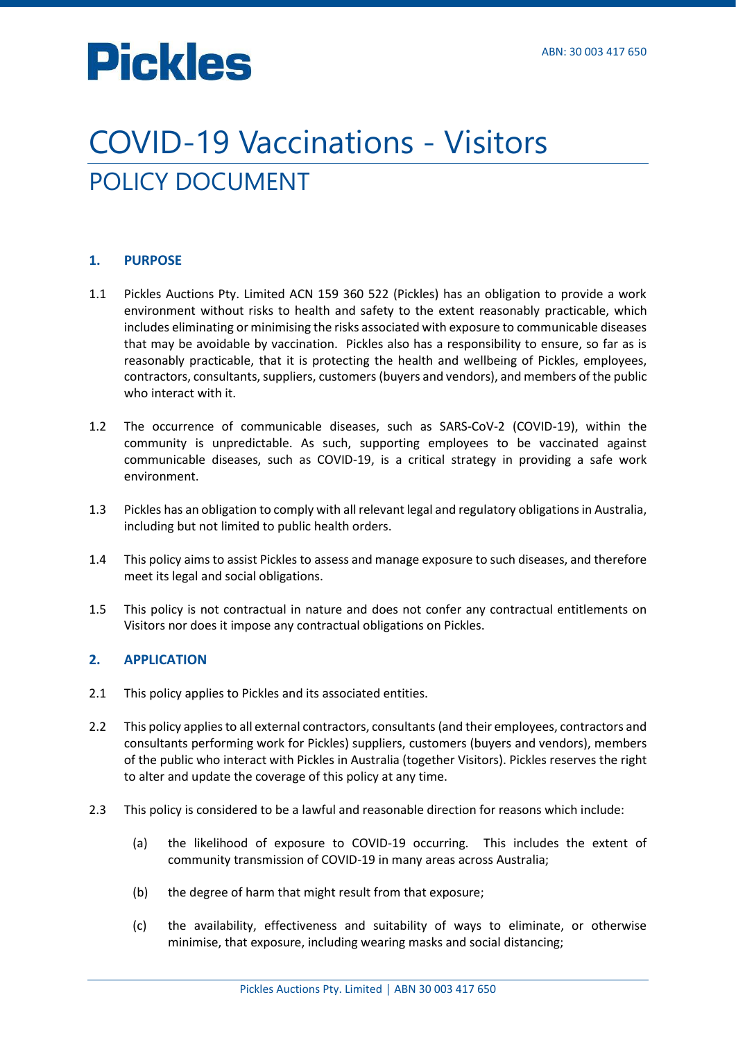### COVID-19 Vaccinations - Visitors POLICY DOCUMENT

#### **1. PURPOSE**

- 1.1 Pickles Auctions Pty. Limited ACN 159 360 522 (Pickles) has an obligation to provide a work environment without risks to health and safety to the extent reasonably practicable, which includes eliminating or minimising the risks associated with exposure to communicable diseases that may be avoidable by vaccination. Pickles also has a responsibility to ensure, so far as is reasonably practicable, that it is protecting the health and wellbeing of Pickles, employees, contractors, consultants, suppliers, customers (buyers and vendors), and members of the public who interact with it.
- 1.2 The occurrence of communicable diseases, such as SARS‐CoV‐2 (COVID-19), within the community is unpredictable. As such, supporting employees to be vaccinated against communicable diseases, such as COVID-19, is a critical strategy in providing a safe work environment.
- 1.3 Pickles has an obligation to comply with all relevant legal and regulatory obligations in Australia, including but not limited to public health orders.
- 1.4 This policy aims to assist Pickles to assess and manage exposure to such diseases, and therefore meet its legal and social obligations.
- 1.5 This policy is not contractual in nature and does not confer any contractual entitlements on Visitors nor does it impose any contractual obligations on Pickles.

#### **2. APPLICATION**

- 2.1 This policy applies to Pickles and its associated entities.
- 2.2 This policy applies to all external contractors, consultants (and their employees, contractors and consultants performing work for Pickles) suppliers, customers (buyers and vendors), members of the public who interact with Pickles in Australia (together Visitors). Pickles reserves the right to alter and update the coverage of this policy at any time.
- 2.3 This policy is considered to be a lawful and reasonable direction for reasons which include:
	- (a) the likelihood of exposure to COVID-19 occurring. This includes the extent of community transmission of COVID-19 in many areas across Australia;
	- (b) the degree of harm that might result from that exposure;
	- (c) the availability, effectiveness and suitability of ways to eliminate, or otherwise minimise, that exposure, including wearing masks and social distancing;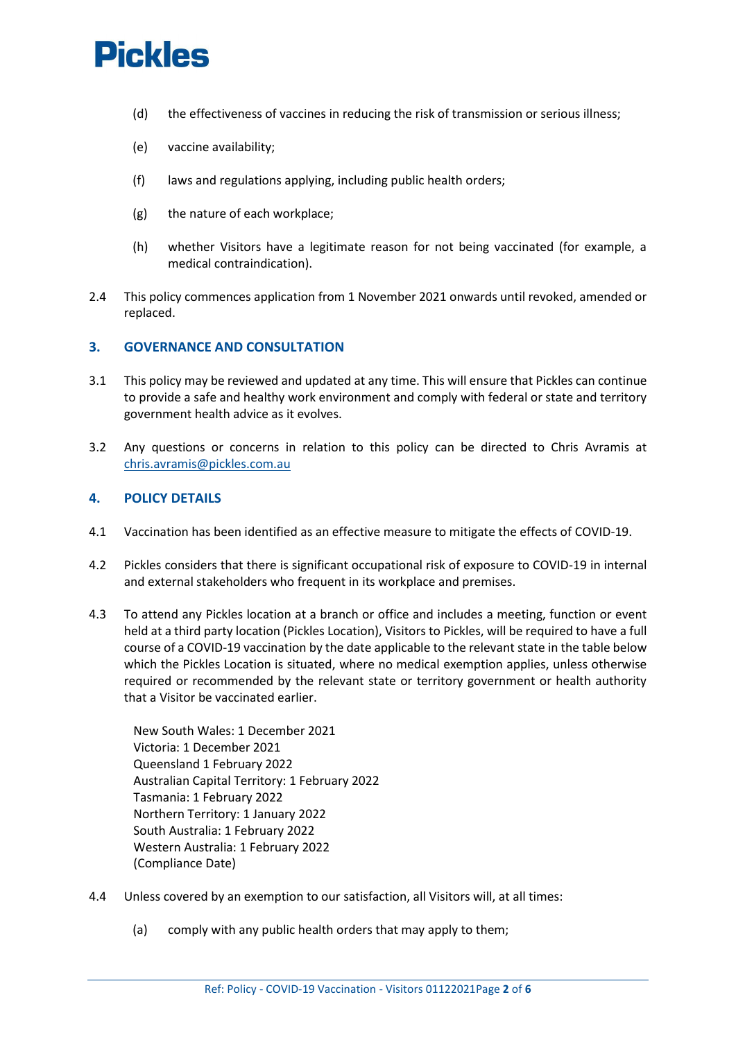- (d) the effectiveness of vaccines in reducing the risk of transmission or serious illness;
- (e) vaccine availability;
- (f) laws and regulations applying, including public health orders;
- (g) the nature of each workplace;
- (h) whether Visitors have a legitimate reason for not being vaccinated (for example, a medical contraindication).
- 2.4 This policy commences application from 1 November 2021 onwards until revoked, amended or replaced.

#### **3. GOVERNANCE AND CONSULTATION**

- 3.1 This policy may be reviewed and updated at any time. This will ensure that Pickles can continue to provide a safe and healthy work environment and comply with federal or state and territory government health advice as it evolves.
- 3.2 Any questions or concerns in relation to this policy can be directed to Chris Avramis at [chris.avramis@pickles.com.au](mailto:chris.avramis@pickles.com.au)

#### **4. POLICY DETAILS**

- 4.1 Vaccination has been identified as an effective measure to mitigate the effects of COVID-19.
- 4.2 Pickles considers that there is significant occupational risk of exposure to COVID-19 in internal and external stakeholders who frequent in its workplace and premises.
- 4.3 To attend any Pickles location at a branch or office and includes a meeting, function or event held at a third party location (Pickles Location), Visitors to Pickles, will be required to have a full course of a COVID-19 vaccination by the date applicable to the relevant state in the table below which the Pickles Location is situated, where no medical exemption applies, unless otherwise required or recommended by the relevant state or territory government or health authority that a Visitor be vaccinated earlier.

New South Wales: 1 December 2021 Victoria: 1 December 2021 Queensland 1 February 2022 Australian Capital Territory: 1 February 2022 Tasmania: 1 February 2022 Northern Territory: 1 January 2022 South Australia: 1 February 2022 Western Australia: 1 February 2022 (Compliance Date)

- 4.4 Unless covered by an exemption to our satisfaction, all Visitors will, at all times:
	- (a) comply with any public health orders that may apply to them;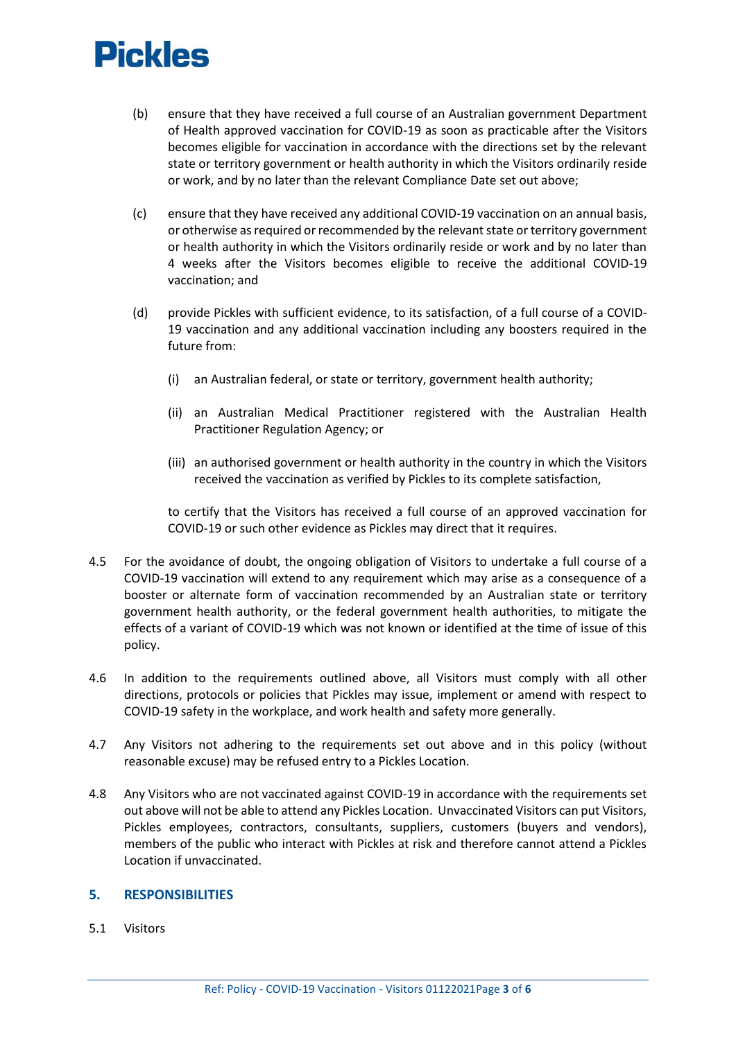- (b) ensure that they have received a full course of an Australian government Department of Health approved vaccination for COVID-19 as soon as practicable after the Visitors becomes eligible for vaccination in accordance with the directions set by the relevant state or territory government or health authority in which the Visitors ordinarily reside or work, and by no later than the relevant Compliance Date set out above;
- (c) ensure that they have received any additional COVID-19 vaccination on an annual basis, or otherwise as required or recommended by the relevant state or territory government or health authority in which the Visitors ordinarily reside or work and by no later than 4 weeks after the Visitors becomes eligible to receive the additional COVID-19 vaccination; and
- (d) provide Pickles with sufficient evidence, to its satisfaction, of a full course of a COVID-19 vaccination and any additional vaccination including any boosters required in the future from:
	- (i) an Australian federal, or state or territory, government health authority;
	- (ii) an Australian Medical Practitioner registered with the Australian Health Practitioner Regulation Agency; or
	- (iii) an authorised government or health authority in the country in which the Visitors received the vaccination as verified by Pickles to its complete satisfaction,

to certify that the Visitors has received a full course of an approved vaccination for COVID-19 or such other evidence as Pickles may direct that it requires.

- 4.5 For the avoidance of doubt, the ongoing obligation of Visitors to undertake a full course of a COVID-19 vaccination will extend to any requirement which may arise as a consequence of a booster or alternate form of vaccination recommended by an Australian state or territory government health authority, or the federal government health authorities, to mitigate the effects of a variant of COVID-19 which was not known or identified at the time of issue of this policy.
- 4.6 In addition to the requirements outlined above, all Visitors must comply with all other directions, protocols or policies that Pickles may issue, implement or amend with respect to COVID-19 safety in the workplace, and work health and safety more generally.
- 4.7 Any Visitors not adhering to the requirements set out above and in this policy (without reasonable excuse) may be refused entry to a Pickles Location.
- 4.8 Any Visitors who are not vaccinated against COVID-19 in accordance with the requirements set out above will not be able to attend any Pickles Location. Unvaccinated Visitors can put Visitors, Pickles employees, contractors, consultants, suppliers, customers (buyers and vendors), members of the public who interact with Pickles at risk and therefore cannot attend a Pickles Location if unvaccinated.

#### **5. RESPONSIBILITIES**

5.1 Visitors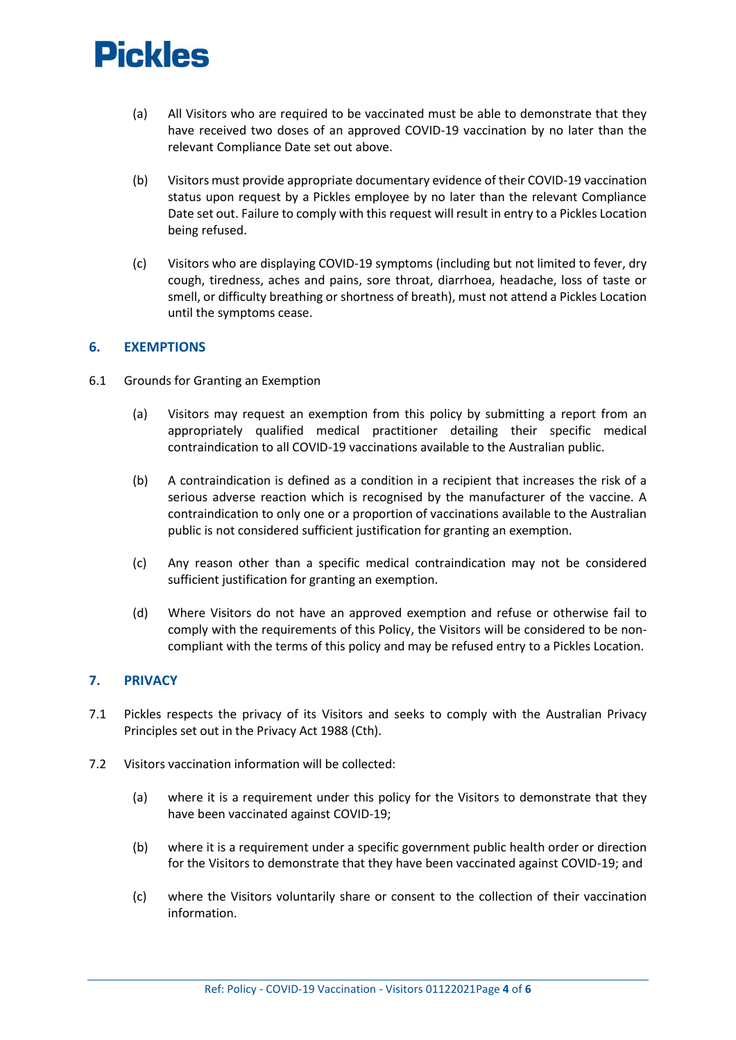- (a) All Visitors who are required to be vaccinated must be able to demonstrate that they have received two doses of an approved COVID-19 vaccination by no later than the relevant Compliance Date set out above.
- (b) Visitors must provide appropriate documentary evidence of their COVID-19 vaccination status upon request by a Pickles employee by no later than the relevant Compliance Date set out. Failure to comply with this request will result in entry to a Pickles Location being refused.
- (c) Visitors who are displaying COVID-19 symptoms (including but not limited to fever, dry cough, tiredness, aches and pains, sore throat, diarrhoea, headache, loss of taste or smell, or difficulty breathing or shortness of breath), must not attend a Pickles Location until the symptoms cease.

#### **6. EXEMPTIONS**

- 6.1 Grounds for Granting an Exemption
	- (a) Visitors may request an exemption from this policy by submitting a report from an appropriately qualified medical practitioner detailing their specific medical contraindication to all COVID-19 vaccinations available to the Australian public.
	- (b) A contraindication is defined as a condition in a recipient that increases the risk of a serious adverse reaction which is recognised by the manufacturer of the vaccine. A contraindication to only one or a proportion of vaccinations available to the Australian public is not considered sufficient justification for granting an exemption.
	- (c) Any reason other than a specific medical contraindication may not be considered sufficient justification for granting an exemption.
	- (d) Where Visitors do not have an approved exemption and refuse or otherwise fail to comply with the requirements of this Policy, the Visitors will be considered to be noncompliant with the terms of this policy and may be refused entry to a Pickles Location.

#### **7. PRIVACY**

- 7.1 Pickles respects the privacy of its Visitors and seeks to comply with the Australian Privacy Principles set out in the Privacy Act 1988 (Cth).
- 7.2 Visitors vaccination information will be collected:
	- (a) where it is a requirement under this policy for the Visitors to demonstrate that they have been vaccinated against COVID-19;
	- (b) where it is a requirement under a specific government public health order or direction for the Visitors to demonstrate that they have been vaccinated against COVID-19; and
	- (c) where the Visitors voluntarily share or consent to the collection of their vaccination information.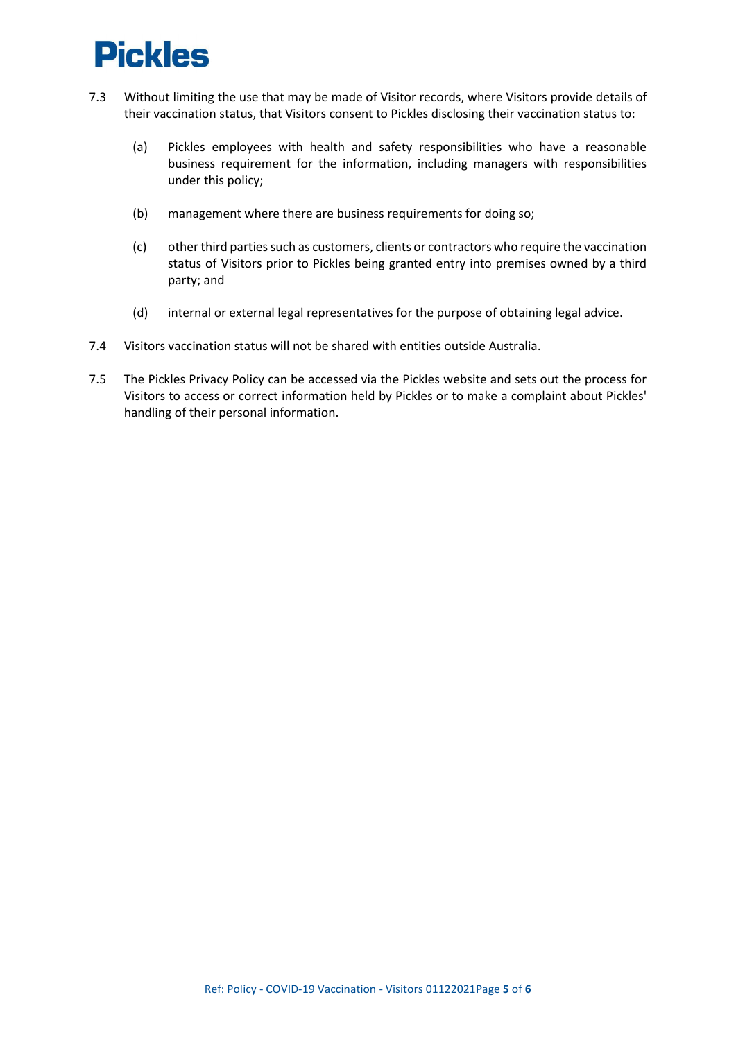- 7.3 Without limiting the use that may be made of Visitor records, where Visitors provide details of their vaccination status, that Visitors consent to Pickles disclosing their vaccination status to:
	- (a) Pickles employees with health and safety responsibilities who have a reasonable business requirement for the information, including managers with responsibilities under this policy;
	- (b) management where there are business requirements for doing so;
	- (c) other third parties such as customers, clients or contractors who require the vaccination status of Visitors prior to Pickles being granted entry into premises owned by a third party; and
	- (d) internal or external legal representatives for the purpose of obtaining legal advice.
- 7.4 Visitors vaccination status will not be shared with entities outside Australia.
- 7.5 The Pickles Privacy Policy can be accessed via the Pickles website and sets out the process for Visitors to access or correct information held by Pickles or to make a complaint about Pickles' handling of their personal information.